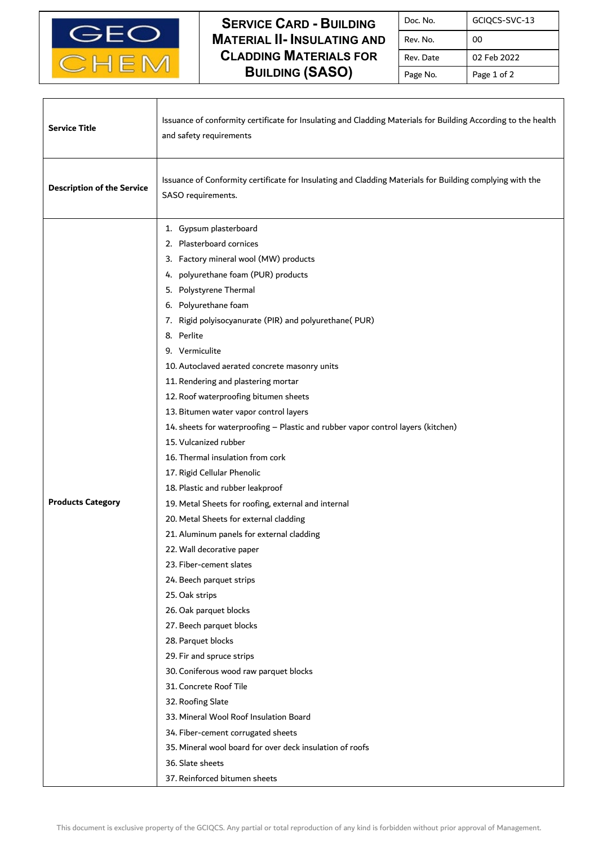

 $\mathbf l$ 

Г

## **SERVICE CARD - BUILDING MATERIAL II- INSULATING AND CLADDING MATERIALS FOR BUILDING (SASO)**

| Doc. No.  | GCIQCS-SVC-13 |
|-----------|---------------|
| Rev. No.  | 00            |
| Rev. Date | 02 Feb 2022   |
| Page No.  | Page 1 of 2   |

| <b>Service Title</b>              | Issuance of conformity certificate for Insulating and Cladding Materials for Building According to the health<br>and safety requirements                                                                                                                                                                                                                                                                                                                                                                                                                                                                                                                                                                                                                                                                                                                                                                                                                                                                                                                                                                                                                                                                                                                                                                                               |
|-----------------------------------|----------------------------------------------------------------------------------------------------------------------------------------------------------------------------------------------------------------------------------------------------------------------------------------------------------------------------------------------------------------------------------------------------------------------------------------------------------------------------------------------------------------------------------------------------------------------------------------------------------------------------------------------------------------------------------------------------------------------------------------------------------------------------------------------------------------------------------------------------------------------------------------------------------------------------------------------------------------------------------------------------------------------------------------------------------------------------------------------------------------------------------------------------------------------------------------------------------------------------------------------------------------------------------------------------------------------------------------|
| <b>Description of the Service</b> | Issuance of Conformity certificate for Insulating and Cladding Materials for Building complying with the<br>SASO requirements.                                                                                                                                                                                                                                                                                                                                                                                                                                                                                                                                                                                                                                                                                                                                                                                                                                                                                                                                                                                                                                                                                                                                                                                                         |
| <b>Products Category</b>          | 1. Gypsum plasterboard<br>2. Plasterboard cornices<br>3. Factory mineral wool (MW) products<br>polyurethane foam (PUR) products<br>4.<br>5. Polystyrene Thermal<br>6. Polyurethane foam<br>7. Rigid polyisocyanurate (PIR) and polyurethane(PUR)<br>8. Perlite<br>9. Vermiculite<br>10. Autoclaved aerated concrete masonry units<br>11. Rendering and plastering mortar<br>12. Roof waterproofing bitumen sheets<br>13. Bitumen water vapor control layers<br>14. sheets for waterproofing - Plastic and rubber vapor control layers (kitchen)<br>15. Vulcanized rubber<br>16. Thermal insulation from cork<br>17. Rigid Cellular Phenolic<br>18. Plastic and rubber leakproof<br>19. Metal Sheets for roofing, external and internal<br>20. Metal Sheets for external cladding<br>21. Aluminum panels for external cladding<br>22. Wall decorative paper<br>23. Fiber-cement slates<br>24. Beech parquet strips<br>25. Oak strips<br>26. Oak parquet blocks<br>27. Beech parquet blocks<br>28. Parquet blocks<br>29. Fir and spruce strips<br>30. Coniferous wood raw parquet blocks<br>31. Concrete Roof Tile<br>32. Roofing Slate<br>33. Mineral Wool Roof Insulation Board<br>34. Fiber-cement corrugated sheets<br>35. Mineral wool board for over deck insulation of roofs<br>36. Slate sheets<br>37. Reinforced bitumen sheets |